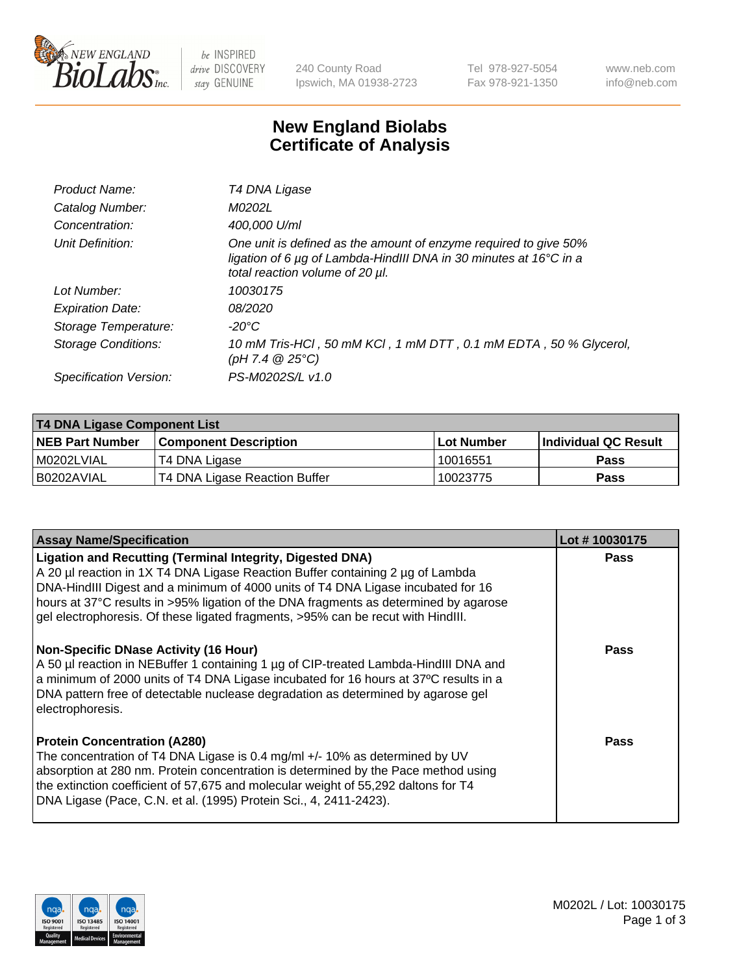

be INSPIRED drive DISCOVERY stay GENUINE

240 County Road Ipswich, MA 01938-2723 Tel 978-927-5054 Fax 978-921-1350 www.neb.com info@neb.com

## **New England Biolabs Certificate of Analysis**

| Product Name:           | T4 DNA Ligase                                                                                                                                                            |
|-------------------------|--------------------------------------------------------------------------------------------------------------------------------------------------------------------------|
| Catalog Number:         | M0202L                                                                                                                                                                   |
| Concentration:          | 400,000 U/ml                                                                                                                                                             |
| Unit Definition:        | One unit is defined as the amount of enzyme required to give 50%<br>ligation of 6 µg of Lambda-HindIII DNA in 30 minutes at 16°C in a<br>total reaction volume of 20 µl. |
| Lot Number:             | 10030175                                                                                                                                                                 |
| <b>Expiration Date:</b> | 08/2020                                                                                                                                                                  |
| Storage Temperature:    | $-20^{\circ}$ C                                                                                                                                                          |
| Storage Conditions:     | 10 mM Tris-HCl, 50 mM KCl, 1 mM DTT, 0.1 mM EDTA, 50 % Glycerol,<br>(pH 7.4 $@25°C$ )                                                                                    |
| Specification Version:  | PS-M0202S/L v1.0                                                                                                                                                         |

| T4 DNA Ligase Component List |                               |              |                             |  |  |
|------------------------------|-------------------------------|--------------|-----------------------------|--|--|
| <b>NEB Part Number</b>       | <b>Component Description</b>  | l Lot Number | <b>Individual QC Result</b> |  |  |
| M0202LVIAL                   | T4 DNA Ligase                 | 10016551     | <b>Pass</b>                 |  |  |
| I B0202AVIAL                 | T4 DNA Ligase Reaction Buffer | 10023775     | <b>Pass</b>                 |  |  |

| <b>Assay Name/Specification</b>                                                                                                                                                                                                                                                                                                                                                                                    | Lot #10030175 |
|--------------------------------------------------------------------------------------------------------------------------------------------------------------------------------------------------------------------------------------------------------------------------------------------------------------------------------------------------------------------------------------------------------------------|---------------|
| <b>Ligation and Recutting (Terminal Integrity, Digested DNA)</b><br>A 20 µl reaction in 1X T4 DNA Ligase Reaction Buffer containing 2 µg of Lambda<br>DNA-HindIII Digest and a minimum of 4000 units of T4 DNA Ligase incubated for 16<br>hours at 37°C results in >95% ligation of the DNA fragments as determined by agarose<br>gel electrophoresis. Of these ligated fragments, >95% can be recut with HindIII. | <b>Pass</b>   |
| <b>Non-Specific DNase Activity (16 Hour)</b><br>A 50 µl reaction in NEBuffer 1 containing 1 µg of CIP-treated Lambda-HindIII DNA and<br>a minimum of 2000 units of T4 DNA Ligase incubated for 16 hours at 37°C results in a<br>DNA pattern free of detectable nuclease degradation as determined by agarose gel<br>electrophoresis.                                                                               | <b>Pass</b>   |
| <b>Protein Concentration (A280)</b><br>The concentration of T4 DNA Ligase is 0.4 mg/ml +/- 10% as determined by UV<br>absorption at 280 nm. Protein concentration is determined by the Pace method using<br>the extinction coefficient of 57,675 and molecular weight of 55,292 daltons for T4<br>DNA Ligase (Pace, C.N. et al. (1995) Protein Sci., 4, 2411-2423).                                                | Pass          |

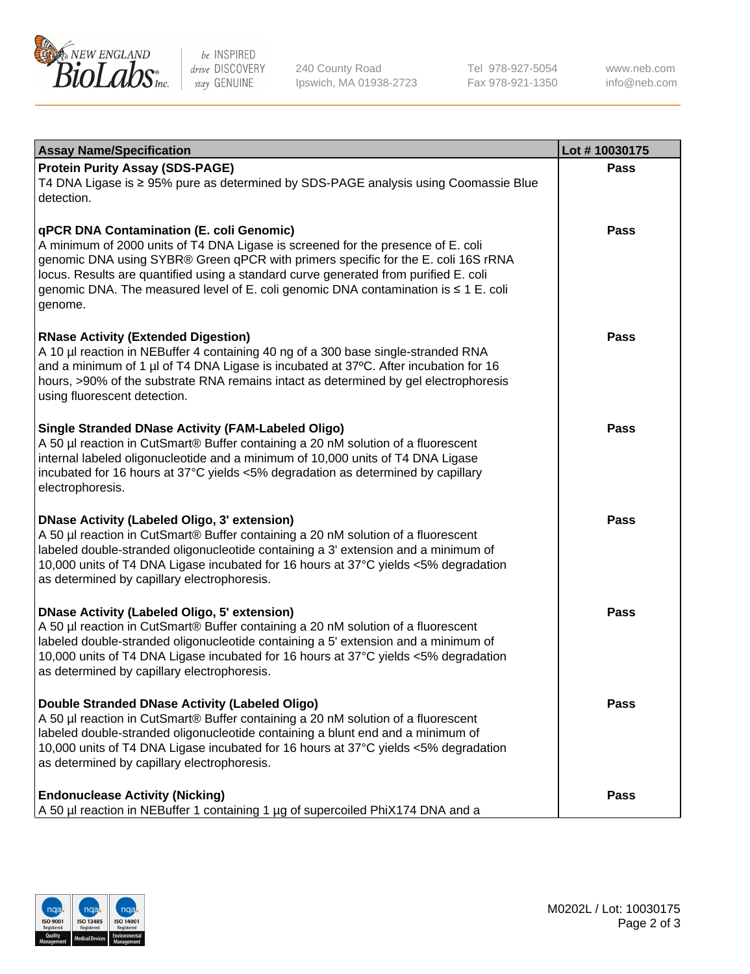

be INSPIRED drive DISCOVERY stay GENUINE

240 County Road Ipswich, MA 01938-2723 Tel 978-927-5054 Fax 978-921-1350

www.neb.com info@neb.com

| <b>Assay Name/Specification</b>                                                                                                                                                                                                                                                                                                                                                                             | Lot #10030175 |
|-------------------------------------------------------------------------------------------------------------------------------------------------------------------------------------------------------------------------------------------------------------------------------------------------------------------------------------------------------------------------------------------------------------|---------------|
| <b>Protein Purity Assay (SDS-PAGE)</b><br>T4 DNA Ligase is ≥ 95% pure as determined by SDS-PAGE analysis using Coomassie Blue<br>detection.                                                                                                                                                                                                                                                                 | <b>Pass</b>   |
| qPCR DNA Contamination (E. coli Genomic)<br>A minimum of 2000 units of T4 DNA Ligase is screened for the presence of E. coli<br>genomic DNA using SYBR® Green qPCR with primers specific for the E. coli 16S rRNA<br>locus. Results are quantified using a standard curve generated from purified E. coli<br>genomic DNA. The measured level of E. coli genomic DNA contamination is ≤ 1 E. coli<br>genome. | <b>Pass</b>   |
| <b>RNase Activity (Extended Digestion)</b><br>A 10 µl reaction in NEBuffer 4 containing 40 ng of a 300 base single-stranded RNA<br>and a minimum of 1 µl of T4 DNA Ligase is incubated at 37°C. After incubation for 16<br>hours, >90% of the substrate RNA remains intact as determined by gel electrophoresis<br>using fluorescent detection.                                                             | <b>Pass</b>   |
| <b>Single Stranded DNase Activity (FAM-Labeled Oligo)</b><br>A 50 µl reaction in CutSmart® Buffer containing a 20 nM solution of a fluorescent<br>internal labeled oligonucleotide and a minimum of 10,000 units of T4 DNA Ligase<br>incubated for 16 hours at 37°C yields <5% degradation as determined by capillary<br>electrophoresis.                                                                   | <b>Pass</b>   |
| <b>DNase Activity (Labeled Oligo, 3' extension)</b><br>A 50 µl reaction in CutSmart® Buffer containing a 20 nM solution of a fluorescent<br>labeled double-stranded oligonucleotide containing a 3' extension and a minimum of<br>10,000 units of T4 DNA Ligase incubated for 16 hours at 37°C yields <5% degradation<br>as determined by capillary electrophoresis.                                        | <b>Pass</b>   |
| <b>DNase Activity (Labeled Oligo, 5' extension)</b><br>A 50 µl reaction in CutSmart® Buffer containing a 20 nM solution of a fluorescent<br>labeled double-stranded oligonucleotide containing a 5' extension and a minimum of<br>10,000 units of T4 DNA Ligase incubated for 16 hours at 37°C yields <5% degradation<br>as determined by capillary electrophoresis.                                        | <b>Pass</b>   |
| Double Stranded DNase Activity (Labeled Oligo)<br>A 50 µl reaction in CutSmart® Buffer containing a 20 nM solution of a fluorescent<br>labeled double-stranded oligonucleotide containing a blunt end and a minimum of<br>10,000 units of T4 DNA Ligase incubated for 16 hours at 37°C yields <5% degradation<br>as determined by capillary electrophoresis.                                                | Pass          |
| <b>Endonuclease Activity (Nicking)</b><br>A 50 µl reaction in NEBuffer 1 containing 1 µg of supercoiled PhiX174 DNA and a                                                                                                                                                                                                                                                                                   | Pass          |